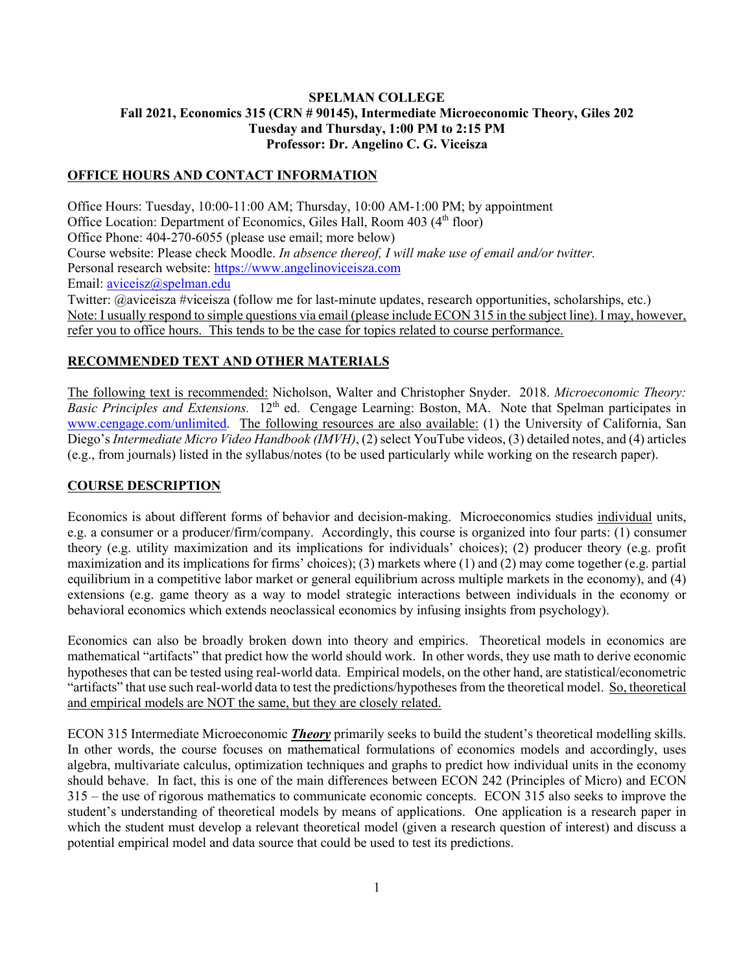## **SPELMAN COLLEGE Fall 2021, Economics 315 (CRN # 90145), Intermediate Microeconomic Theory, Giles 202 Tuesday and Thursday, 1:00 PM to 2:15 PM Professor: Dr. Angelino C. G. Viceisza**

# **OFFICE HOURS AND CONTACT INFORMATION**

Office Hours: Tuesday, 10:00-11:00 AM; Thursday, 10:00 AM-1:00 PM; by appointment Office Location: Department of Economics, Giles Hall, Room 403 (4<sup>th</sup> floor) Office Phone: 404-270-6055 (please use email; more below) Course website: Please check Moodle. *In absence thereof, I will make use of email and/or twitter.*  Personal research website: https://www.angelinoviceisza.com Email: aviceisz@spelman.edu Twitter: @aviceisza #viceisza (follow me for last-minute updates, research opportunities, scholarships, etc.) Note: I usually respond to simple questions via email (please include ECON 315 in the subject line). I may, however, refer you to office hours. This tends to be the case for topics related to course performance.

#### **RECOMMENDED TEXT AND OTHER MATERIALS**

The following text is recommended: Nicholson, Walter and Christopher Snyder. 2018. *Microeconomic Theory: Basic Principles and Extensions.* 12<sup>th</sup> ed. Cengage Learning: Boston, MA. Note that Spelman participates in www.cengage.com/unlimited. The following resources are also available: (1) the University of California, San Diego's*Intermediate Micro Video Handbook (IMVH)*, (2) select YouTube videos, (3) detailed notes, and (4) articles (e.g., from journals) listed in the syllabus/notes (to be used particularly while working on the research paper).

#### **COURSE DESCRIPTION**

Economics is about different forms of behavior and decision-making. Microeconomics studies individual units, e.g. a consumer or a producer/firm/company. Accordingly, this course is organized into four parts: (1) consumer theory (e.g. utility maximization and its implications for individuals' choices); (2) producer theory (e.g. profit maximization and its implications for firms' choices); (3) markets where (1) and (2) may come together (e.g. partial equilibrium in a competitive labor market or general equilibrium across multiple markets in the economy), and (4) extensions (e.g. game theory as a way to model strategic interactions between individuals in the economy or behavioral economics which extends neoclassical economics by infusing insights from psychology).

Economics can also be broadly broken down into theory and empirics. Theoretical models in economics are mathematical "artifacts" that predict how the world should work. In other words, they use math to derive economic hypotheses that can be tested using real-world data. Empirical models, on the other hand, are statistical/econometric "artifacts" that use such real-world data to test the predictions/hypothesesfrom the theoretical model. So, theoretical and empirical models are NOT the same, but they are closely related.

ECON 315 Intermediate Microeconomic *Theory* primarily seeks to build the student's theoretical modelling skills. In other words, the course focuses on mathematical formulations of economics models and accordingly, uses algebra, multivariate calculus, optimization techniques and graphs to predict how individual units in the economy should behave. In fact, this is one of the main differences between ECON 242 (Principles of Micro) and ECON 315 – the use of rigorous mathematics to communicate economic concepts. ECON 315 also seeks to improve the student's understanding of theoretical models by means of applications. One application is a research paper in which the student must develop a relevant theoretical model (given a research question of interest) and discuss a potential empirical model and data source that could be used to test its predictions.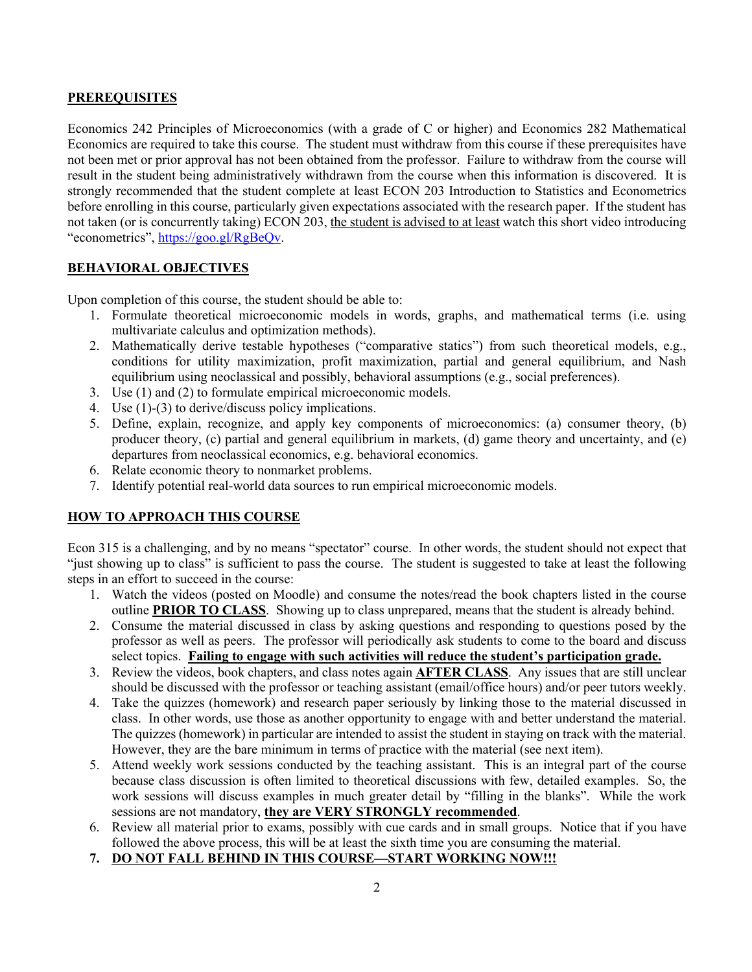# **PREREQUISITES**

Economics 242 Principles of Microeconomics (with a grade of C or higher) and Economics 282 Mathematical Economics are required to take this course. The student must withdraw from this course if these prerequisites have not been met or prior approval has not been obtained from the professor. Failure to withdraw from the course will result in the student being administratively withdrawn from the course when this information is discovered. It is strongly recommended that the student complete at least ECON 203 Introduction to Statistics and Econometrics before enrolling in this course, particularly given expectations associated with the research paper. If the student has not taken (or is concurrently taking) ECON 203, the student is advised to at least watch this short video introducing "econometrics", https://goo.gl/RgBeQv.

# **BEHAVIORAL OBJECTIVES**

Upon completion of this course, the student should be able to:

- 1. Formulate theoretical microeconomic models in words, graphs, and mathematical terms (i.e. using multivariate calculus and optimization methods).
- 2. Mathematically derive testable hypotheses ("comparative statics") from such theoretical models, e.g., conditions for utility maximization, profit maximization, partial and general equilibrium, and Nash equilibrium using neoclassical and possibly, behavioral assumptions (e.g., social preferences).
- 3. Use (1) and (2) to formulate empirical microeconomic models.
- 4. Use (1)-(3) to derive/discuss policy implications.
- 5. Define, explain, recognize, and apply key components of microeconomics: (a) consumer theory, (b) producer theory, (c) partial and general equilibrium in markets, (d) game theory and uncertainty, and (e) departures from neoclassical economics, e.g. behavioral economics.
- 6. Relate economic theory to nonmarket problems.
- 7. Identify potential real-world data sources to run empirical microeconomic models.

# **HOW TO APPROACH THIS COURSE**

Econ 315 is a challenging, and by no means "spectator" course. In other words, the student should not expect that "just showing up to class" is sufficient to pass the course. The student is suggested to take at least the following steps in an effort to succeed in the course:

- 1. Watch the videos (posted on Moodle) and consume the notes/read the book chapters listed in the course outline **PRIOR TO CLASS**. Showing up to class unprepared, means that the student is already behind.
- 2. Consume the material discussed in class by asking questions and responding to questions posed by the professor as well as peers. The professor will periodically ask students to come to the board and discuss select topics. **Failing to engage with such activities will reduce the student's participation grade.**
- 3. Review the videos, book chapters, and class notes again **AFTER CLASS**. Any issues that are still unclear should be discussed with the professor or teaching assistant (email/office hours) and/or peer tutors weekly.
- 4. Take the quizzes (homework) and research paper seriously by linking those to the material discussed in class. In other words, use those as another opportunity to engage with and better understand the material. The quizzes (homework) in particular are intended to assist the student in staying on track with the material. However, they are the bare minimum in terms of practice with the material (see next item).
- 5. Attend weekly work sessions conducted by the teaching assistant. This is an integral part of the course because class discussion is often limited to theoretical discussions with few, detailed examples. So, the work sessions will discuss examples in much greater detail by "filling in the blanks". While the work sessions are not mandatory, **they are VERY STRONGLY recommended**.
- 6. Review all material prior to exams, possibly with cue cards and in small groups. Notice that if you have followed the above process, this will be at least the sixth time you are consuming the material.
- **7. DO NOT FALL BEHIND IN THIS COURSE—START WORKING NOW!!!**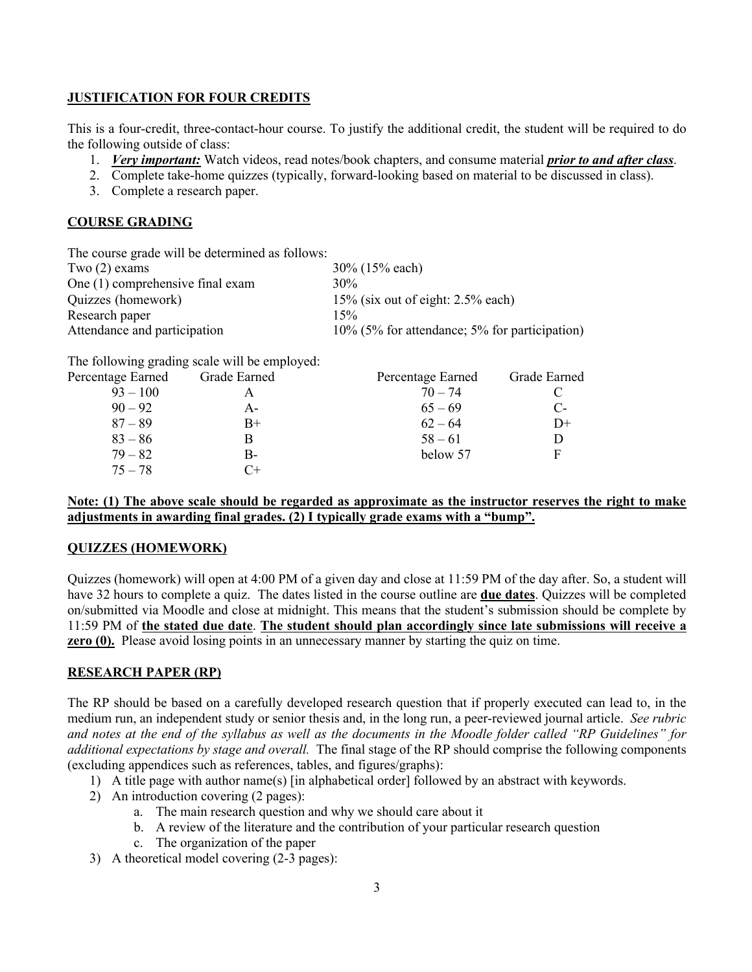## **JUSTIFICATION FOR FOUR CREDITS**

This is a four-credit, three-contact-hour course. To justify the additional credit, the student will be required to do the following outside of class:

- 1. *Very important:* Watch videos, read notes/book chapters, and consume material *prior to and after class*.
- 2. Complete take-home quizzes (typically, forward-looking based on material to be discussed in class).
- 3. Complete a research paper.

# **COURSE GRADING**

|                                               | The course grade will be determined as follows: |
|-----------------------------------------------|-------------------------------------------------|
| 30% (15% each)                                | Two $(2)$ exams                                 |
| $30\%$                                        | One (1) comprehensive final exam                |
| $15\%$ (six out of eight: 2.5% each)          | Quizzes (homework)                              |
| 15%                                           | Research paper                                  |
| 10% (5% for attendance; 5% for participation) | Attendance and participation                    |
|                                               |                                                 |

The following grading scale will be employed:

| Percentage Earned | Grade Earned | Percentage Earned | Grade Earned |
|-------------------|--------------|-------------------|--------------|
| $93 - 100$        |              | $70 - 74$         |              |
| $90 - 92$         | А-           | $65 - 69$         | $C$ -        |
| $87 - 89$         | $B+$         | $62 - 64$         | $D+$         |
| $83 - 86$         |              | $58 - 61$         |              |
| $79 - 82$         | В-           | below 57          | E            |
| $75 - 78$         | C+           |                   |              |

## **Note: (1) The above scale should be regarded as approximate as the instructor reserves the right to make adjustments in awarding final grades. (2) I typically grade exams with a "bump".**

## **QUIZZES (HOMEWORK)**

Quizzes (homework) will open at 4:00 PM of a given day and close at 11:59 PM of the day after. So, a student will have 32 hours to complete a quiz. The dates listed in the course outline are **due dates**. Quizzes will be completed on/submitted via Moodle and close at midnight. This means that the student's submission should be complete by 11:59 PM of **the stated due date**. **The student should plan accordingly since late submissions will receive a zero (0).** Please avoid losing points in an unnecessary manner by starting the quiz on time.

## **RESEARCH PAPER (RP)**

The RP should be based on a carefully developed research question that if properly executed can lead to, in the medium run, an independent study or senior thesis and, in the long run, a peer-reviewed journal article. *See rubric and notes at the end of the syllabus as well as the documents in the Moodle folder called "RP Guidelines" for additional expectations by stage and overall.* The final stage of the RP should comprise the following components (excluding appendices such as references, tables, and figures/graphs):

- 1) A title page with author name(s) [in alphabetical order] followed by an abstract with keywords.
- 2) An introduction covering (2 pages):
	- a. The main research question and why we should care about it
	- b. A review of the literature and the contribution of your particular research question
	- c. The organization of the paper
- 3) A theoretical model covering (2-3 pages):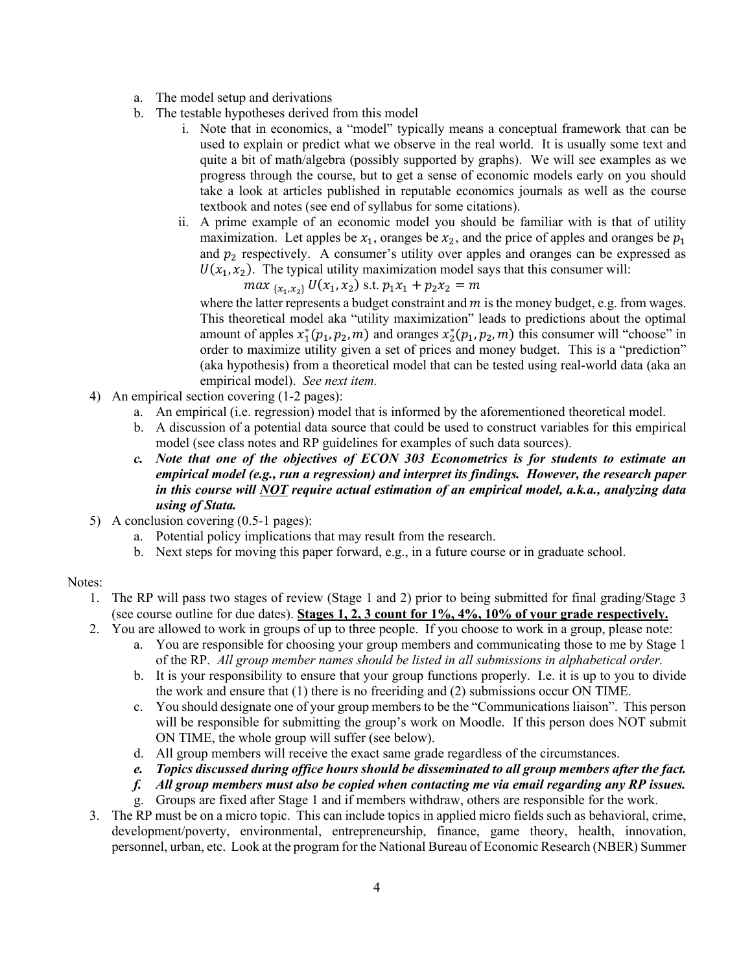- a. The model setup and derivations
- b. The testable hypotheses derived from this model
	- i. Note that in economics, a "model" typically means a conceptual framework that can be used to explain or predict what we observe in the real world. It is usually some text and quite a bit of math/algebra (possibly supported by graphs). We will see examples as we progress through the course, but to get a sense of economic models early on you should take a look at articles published in reputable economics journals as well as the course textbook and notes (see end of syllabus for some citations).
	- ii. A prime example of an economic model you should be familiar with is that of utility maximization. Let apples be  $x_1$ , oranges be  $x_2$ , and the price of apples and oranges be  $p_1$ and  $p_2$  respectively. A consumer's utility over apples and oranges can be expressed as  $U(x_1, x_2)$ . The typical utility maximization model says that this consumer will:

 $max_{\{x_1, x_2\}} U(x_1, x_2)$  s.t.  $p_1x_1 + p_2x_2 = m$ 

where the latter represents a budget constraint and  $m$  is the money budget, e.g. from wages. This theoretical model aka "utility maximization" leads to predictions about the optimal amount of apples  $x_1^*(p_1, p_2, m)$  and oranges  $x_2^*(p_1, p_2, m)$  this consumer will "choose" in order to maximize utility given a set of prices and money budget. This is a "prediction" (aka hypothesis) from a theoretical model that can be tested using real-world data (aka an empirical model). *See next item.*

- 4) An empirical section covering (1-2 pages):
	- a. An empirical (i.e. regression) model that is informed by the aforementioned theoretical model.
	- b. A discussion of a potential data source that could be used to construct variables for this empirical model (see class notes and RP guidelines for examples of such data sources).
	- *c. Note that one of the objectives of ECON 303 Econometrics is for students to estimate an empirical model (e.g., run a regression) and interpret its findings. However, the research paper in this course will NOT require actual estimation of an empirical model, a.k.a., analyzing data using of Stata.*
- 5) A conclusion covering (0.5-1 pages):
	- a. Potential policy implications that may result from the research.
	- b. Next steps for moving this paper forward, e.g., in a future course or in graduate school.

## Notes:

- 1. The RP will pass two stages of review (Stage 1 and 2) prior to being submitted for final grading/Stage 3 (see course outline for due dates). **Stages 1, 2, 3 count for 1%, 4%, 10% of your grade respectively.**
- 2. You are allowed to work in groups of up to three people. If you choose to work in a group, please note:
	- a. You are responsible for choosing your group members and communicating those to me by Stage 1 of the RP. *All group member names should be listed in all submissions in alphabetical order.*
	- b. It is your responsibility to ensure that your group functions properly. I.e. it is up to you to divide the work and ensure that (1) there is no freeriding and (2) submissions occur ON TIME.
	- c. You should designate one of your group members to be the "Communications liaison". This person will be responsible for submitting the group's work on Moodle. If this person does NOT submit ON TIME, the whole group will suffer (see below).
	- d. All group members will receive the exact same grade regardless of the circumstances.
	- *e. Topics discussed during office hours should be disseminated to all group members after the fact.*
	- *f. All group members must also be copied when contacting me via email regarding any RP issues.*
	- g. Groups are fixed after Stage 1 and if members withdraw, others are responsible for the work.
- 3. The RP must be on a micro topic. This can include topics in applied micro fields such as behavioral, crime, development/poverty, environmental, entrepreneurship, finance, game theory, health, innovation, personnel, urban, etc. Look at the program for the National Bureau of Economic Research (NBER) Summer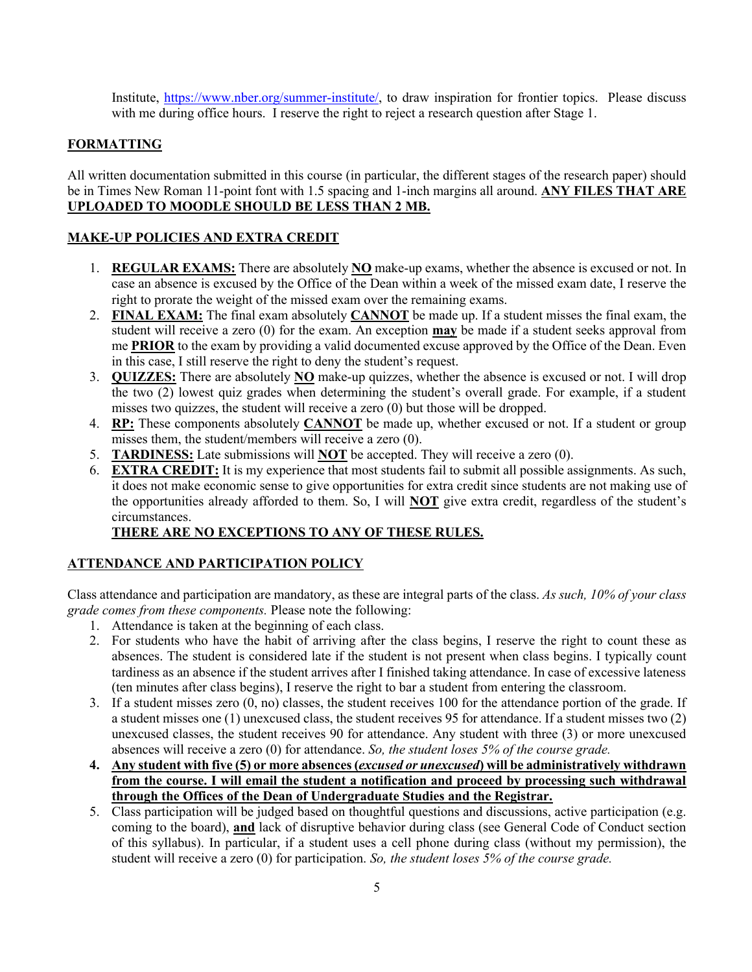Institute, https://www.nber.org/summer-institute/, to draw inspiration for frontier topics. Please discuss with me during office hours. I reserve the right to reject a research question after Stage 1.

## **FORMATTING**

All written documentation submitted in this course (in particular, the different stages of the research paper) should be in Times New Roman 11-point font with 1.5 spacing and 1-inch margins all around. **ANY FILES THAT ARE UPLOADED TO MOODLE SHOULD BE LESS THAN 2 MB.** 

# **MAKE-UP POLICIES AND EXTRA CREDIT**

- 1. **REGULAR EXAMS:** There are absolutely **NO** make-up exams, whether the absence is excused or not. In case an absence is excused by the Office of the Dean within a week of the missed exam date, I reserve the right to prorate the weight of the missed exam over the remaining exams.
- 2. **FINAL EXAM:** The final exam absolutely **CANNOT** be made up. If a student misses the final exam, the student will receive a zero (0) for the exam. An exception **may** be made if a student seeks approval from me **PRIOR** to the exam by providing a valid documented excuse approved by the Office of the Dean. Even in this case, I still reserve the right to deny the student's request.
- 3. **QUIZZES:** There are absolutely **NO** make-up quizzes, whether the absence is excused or not. I will drop the two (2) lowest quiz grades when determining the student's overall grade. For example, if a student misses two quizzes, the student will receive a zero (0) but those will be dropped.
- 4. **RP:** These components absolutely **CANNOT** be made up, whether excused or not. If a student or group misses them, the student/members will receive a zero (0).
- 5. **TARDINESS:** Late submissions will **NOT** be accepted. They will receive a zero (0).
- 6. **EXTRA CREDIT:** It is my experience that most students fail to submit all possible assignments. As such, it does not make economic sense to give opportunities for extra credit since students are not making use of the opportunities already afforded to them. So, I will **NOT** give extra credit, regardless of the student's circumstances.

# **THERE ARE NO EXCEPTIONS TO ANY OF THESE RULES.**

# **ATTENDANCE AND PARTICIPATION POLICY**

Class attendance and participation are mandatory, as these are integral parts of the class. *As such, 10% of your class grade comes from these components.* Please note the following:

- 1. Attendance is taken at the beginning of each class.
- 2. For students who have the habit of arriving after the class begins, I reserve the right to count these as absences. The student is considered late if the student is not present when class begins. I typically count tardiness as an absence if the student arrives after I finished taking attendance. In case of excessive lateness (ten minutes after class begins), I reserve the right to bar a student from entering the classroom.
- 3. If a student misses zero (0, no) classes, the student receives 100 for the attendance portion of the grade. If a student misses one (1) unexcused class, the student receives 95 for attendance. If a student misses two (2) unexcused classes, the student receives 90 for attendance. Any student with three (3) or more unexcused absences will receive a zero (0) for attendance. *So, the student loses 5% of the course grade.*
- **4. Any student with five (5) or more absences (***excused or unexcused***) will be administratively withdrawn from the course. I will email the student a notification and proceed by processing such withdrawal through the Offices of the Dean of Undergraduate Studies and the Registrar.**
- 5. Class participation will be judged based on thoughtful questions and discussions, active participation (e.g. coming to the board), **and** lack of disruptive behavior during class (see General Code of Conduct section of this syllabus). In particular, if a student uses a cell phone during class (without my permission), the student will receive a zero (0) for participation. *So, the student loses 5% of the course grade.*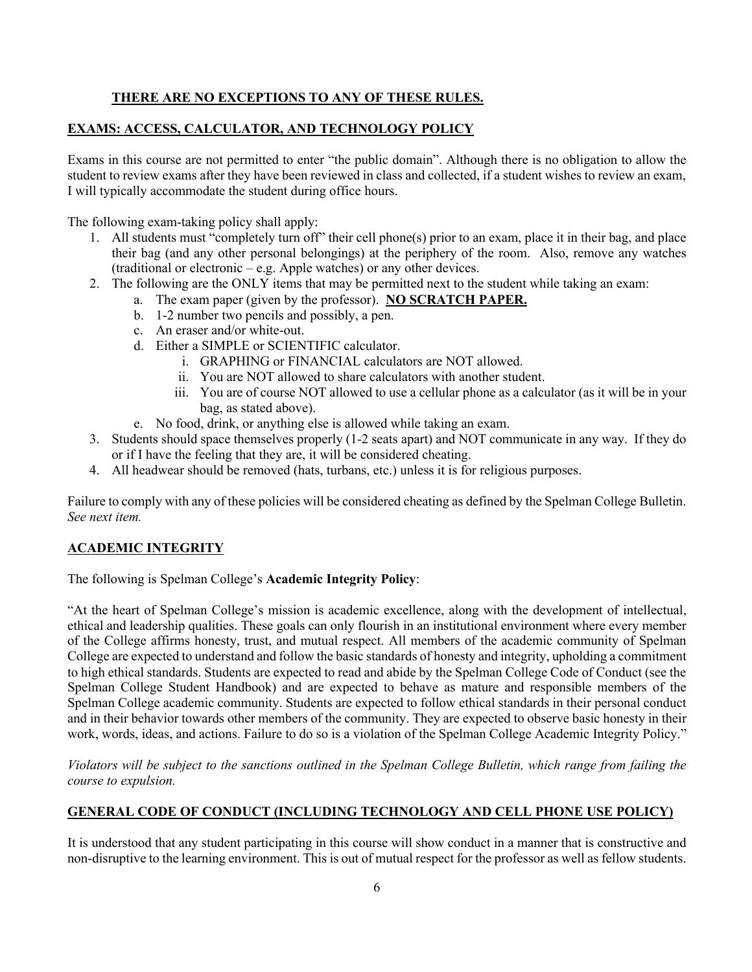# **THERE ARE NO EXCEPTIONS TO ANY OF THESE RULES.**

# **EXAMS: ACCESS, CALCULATOR, AND TECHNOLOGY POLICY**

Exams in this course are not permitted to enter "the public domain". Although there is no obligation to allow the student to review exams after they have been reviewed in class and collected, if a student wishes to review an exam, I will typically accommodate the student during office hours.

The following exam-taking policy shall apply:

- 1. All students must "completely turn off" their cell phone(s) prior to an exam, place it in their bag, and place their bag (and any other personal belongings) at the periphery of the room. Also, remove any watches (traditional or electronic – e.g. Apple watches) or any other devices.
- 2. The following are the ONLY items that may be permitted next to the student while taking an exam:
	- a. The exam paper (given by the professor). **NO SCRATCH PAPER.**
		- b. 1-2 number two pencils and possibly, a pen.
		- c. An eraser and/or white-out.
		- d. Either a SIMPLE or SCIENTIFIC calculator.
			- i. GRAPHING or FINANCIAL calculators are NOT allowed.
			- ii. You are NOT allowed to share calculators with another student.
			- iii. You are of course NOT allowed to use a cellular phone as a calculator (as it will be in your bag, as stated above).
		- e. No food, drink, or anything else is allowed while taking an exam.
- 3. Students should space themselves properly (1-2 seats apart) and NOT communicate in any way. If they do or if I have the feeling that they are, it will be considered cheating.
- 4. All headwear should be removed (hats, turbans, etc.) unless it is for religious purposes.

Failure to comply with any of these policies will be considered cheating as defined by the Spelman College Bulletin. *See next item.*

# **ACADEMIC INTEGRITY**

The following is Spelman College's **Academic Integrity Policy**:

"At the heart of Spelman College's mission is academic excellence, along with the development of intellectual, ethical and leadership qualities. These goals can only flourish in an institutional environment where every member of the College affirms honesty, trust, and mutual respect. All members of the academic community of Spelman College are expected to understand and follow the basic standards of honesty and integrity, upholding a commitment to high ethical standards. Students are expected to read and abide by the Spelman College Code of Conduct (see the Spelman College Student Handbook) and are expected to behave as mature and responsible members of the Spelman College academic community. Students are expected to follow ethical standards in their personal conduct and in their behavior towards other members of the community. They are expected to observe basic honesty in their work, words, ideas, and actions. Failure to do so is a violation of the Spelman College Academic Integrity Policy."

*Violators will be subject to the sanctions outlined in the Spelman College Bulletin, which range from failing the course to expulsion.*

## **GENERAL CODE OF CONDUCT (INCLUDING TECHNOLOGY AND CELL PHONE USE POLICY)**

It is understood that any student participating in this course will show conduct in a manner that is constructive and non-disruptive to the learning environment. This is out of mutual respect for the professor as well as fellow students.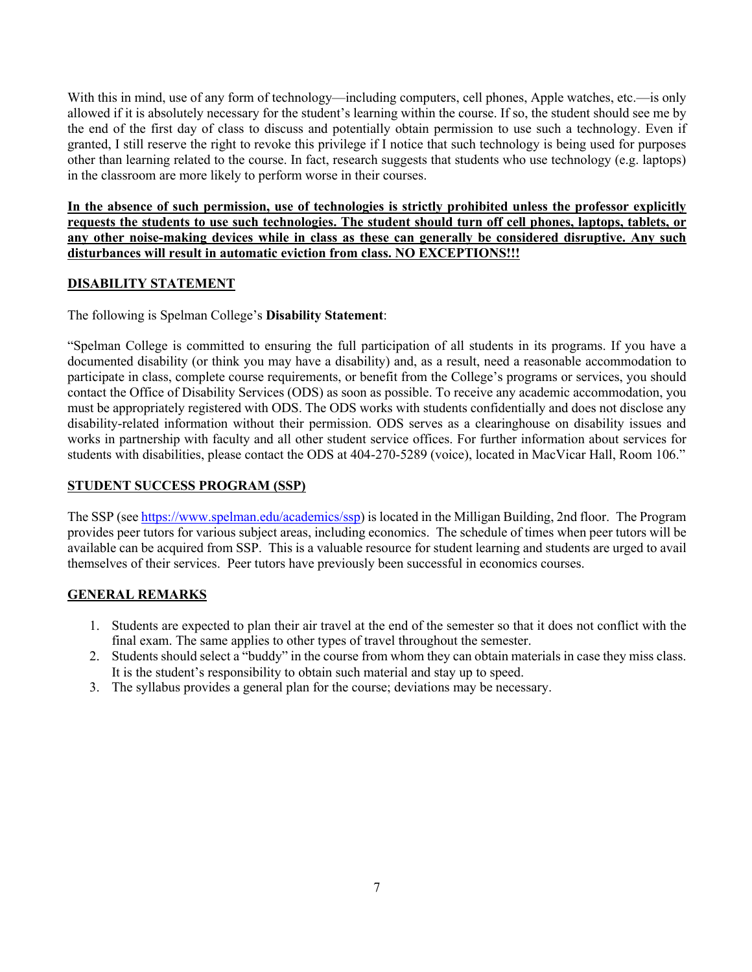With this in mind, use of any form of technology—including computers, cell phones, Apple watches, etc.—is only allowed if it is absolutely necessary for the student's learning within the course. If so, the student should see me by the end of the first day of class to discuss and potentially obtain permission to use such a technology. Even if granted, I still reserve the right to revoke this privilege if I notice that such technology is being used for purposes other than learning related to the course. In fact, research suggests that students who use technology (e.g. laptops) in the classroom are more likely to perform worse in their courses.

**In the absence of such permission, use of technologies is strictly prohibited unless the professor explicitly requests the students to use such technologies. The student should turn off cell phones, laptops, tablets, or any other noise-making devices while in class as these can generally be considered disruptive. Any such disturbances will result in automatic eviction from class. NO EXCEPTIONS!!!**

# **DISABILITY STATEMENT**

The following is Spelman College's **Disability Statement**:

"Spelman College is committed to ensuring the full participation of all students in its programs. If you have a documented disability (or think you may have a disability) and, as a result, need a reasonable accommodation to participate in class, complete course requirements, or benefit from the College's programs or services, you should contact the Office of Disability Services (ODS) as soon as possible. To receive any academic accommodation, you must be appropriately registered with ODS. The ODS works with students confidentially and does not disclose any disability-related information without their permission. ODS serves as a clearinghouse on disability issues and works in partnership with faculty and all other student service offices. For further information about services for students with disabilities, please contact the ODS at 404-270-5289 (voice), located in MacVicar Hall, Room 106."

# **STUDENT SUCCESS PROGRAM (SSP)**

The SSP (see https://www.spelman.edu/academics/ssp) is located in the Milligan Building, 2nd floor. The Program provides peer tutors for various subject areas, including economics. The schedule of times when peer tutors will be available can be acquired from SSP. This is a valuable resource for student learning and students are urged to avail themselves of their services. Peer tutors have previously been successful in economics courses.

## **GENERAL REMARKS**

- 1. Students are expected to plan their air travel at the end of the semester so that it does not conflict with the final exam. The same applies to other types of travel throughout the semester.
- 2. Students should select a "buddy" in the course from whom they can obtain materials in case they miss class. It is the student's responsibility to obtain such material and stay up to speed.
- 3. The syllabus provides a general plan for the course; deviations may be necessary.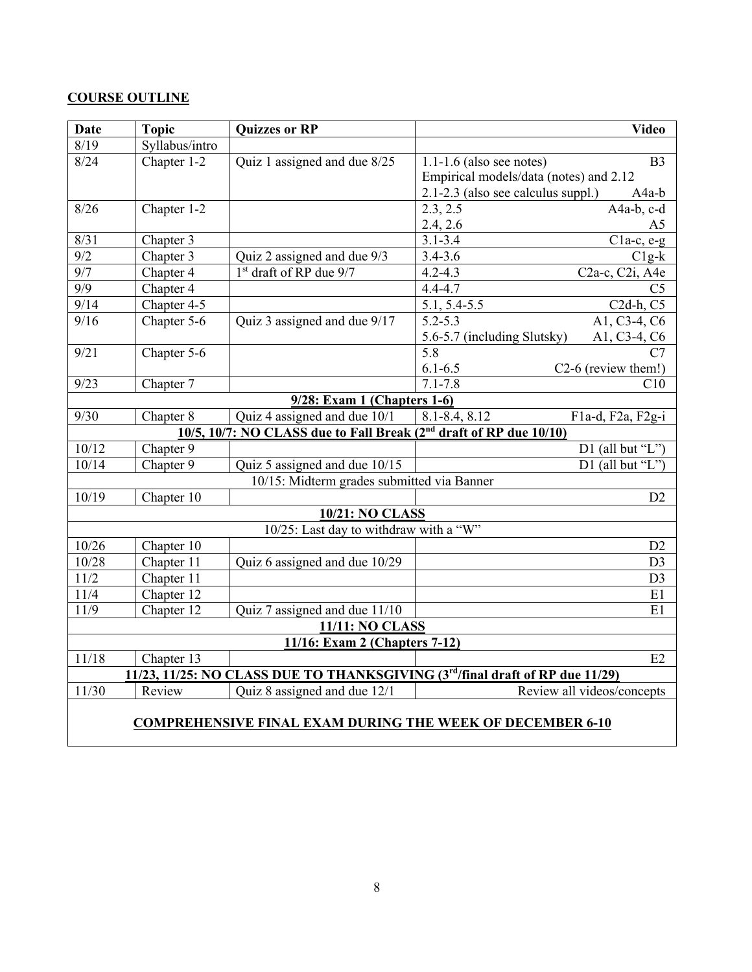# **COURSE OUTLINE**

| <b>Date</b>                                                                  | <b>Topic</b>   | <b>Quizzes or RP</b>                                                           | <b>Video</b>                                                     |  |  |  |
|------------------------------------------------------------------------------|----------------|--------------------------------------------------------------------------------|------------------------------------------------------------------|--|--|--|
| 8/19                                                                         | Syllabus/intro |                                                                                |                                                                  |  |  |  |
| 8/24                                                                         | Chapter 1-2    | Quiz 1 assigned and due 8/25                                                   | $1.1\n-1.6$ (also see notes)<br>B <sub>3</sub>                   |  |  |  |
|                                                                              |                |                                                                                | Empirical models/data (notes) and 2.12                           |  |  |  |
|                                                                              |                |                                                                                | 2.1-2.3 (also see calculus suppl.)<br>A4a-b                      |  |  |  |
| 8/26                                                                         | Chapter 1-2    |                                                                                | 2.3, 2.5<br>A4a-b, c-d                                           |  |  |  |
|                                                                              |                |                                                                                | 2.4, 2.6<br>A <sub>5</sub>                                       |  |  |  |
| 8/31                                                                         | Chapter 3      |                                                                                | $3.1 - 3.4$<br>$C1a-c, e-g$                                      |  |  |  |
| $\overline{9/2}$                                                             | Chapter 3      | Quiz 2 assigned and due 9/3                                                    | $3.4 - 3.6$<br>$C1g-k$                                           |  |  |  |
| $\overline{9/7}$                                                             | Chapter 4      | 1st draft of RP due 9/7                                                        | $\overline{\text{C2a-c}, \text{C2i}, \text{A4e}}$<br>$4.2 - 4.3$ |  |  |  |
| $\overline{9/9}$                                                             | Chapter 4      |                                                                                | $4.4 - 4.7$<br>C <sub>5</sub>                                    |  |  |  |
| 9/14                                                                         | Chapter 4-5    |                                                                                | $C2d-h, C5$<br>5.1, 5.4-5.5                                      |  |  |  |
| 9/16                                                                         | Chapter 5-6    | Quiz 3 assigned and due 9/17                                                   | A1, C3-4, C6<br>$5.2 - 5.3$                                      |  |  |  |
|                                                                              |                |                                                                                | A1, C3-4, C6<br>5.6-5.7 (including Slutsky)                      |  |  |  |
| 9/21                                                                         | Chapter 5-6    |                                                                                | 5.8<br>C7                                                        |  |  |  |
|                                                                              |                |                                                                                | $6.1 - 6.5$<br>C2-6 (review them!)                               |  |  |  |
| 9/23                                                                         | Chapter 7      |                                                                                | $7.1 - 7.8$<br>C10                                               |  |  |  |
|                                                                              |                | 9/28: Exam 1 (Chapters 1-6)                                                    |                                                                  |  |  |  |
| 9/30                                                                         | Chapter 8      | Quiz 4 assigned and due 10/1                                                   | $8.1 - 8.4, 8.12$<br>F1a-d, F2a, F2g-i                           |  |  |  |
|                                                                              |                | 10/5, 10/7: NO CLASS due to Fall Break (2 <sup>nd</sup> draft of RP due 10/10) |                                                                  |  |  |  |
| 10/12                                                                        | Chapter 9      |                                                                                | D1 (all but "L")                                                 |  |  |  |
| 10/14                                                                        | Chapter 9      | Quiz 5 assigned and due 10/15                                                  | D1 (all but "L")                                                 |  |  |  |
|                                                                              |                | 10/15: Midterm grades submitted via Banner                                     |                                                                  |  |  |  |
| 10/19                                                                        | Chapter 10     |                                                                                | D2                                                               |  |  |  |
| 10/21: NO CLASS                                                              |                |                                                                                |                                                                  |  |  |  |
|                                                                              |                | 10/25: Last day to withdraw with a "W"                                         |                                                                  |  |  |  |
| 10/26                                                                        | Chapter 10     |                                                                                | D <sub>2</sub>                                                   |  |  |  |
| 10/28                                                                        | Chapter 11     | Quiz 6 assigned and due 10/29                                                  | D <sub>3</sub>                                                   |  |  |  |
| 11/2                                                                         | Chapter 11     |                                                                                | D <sub>3</sub>                                                   |  |  |  |
| 11/4                                                                         | Chapter 12     |                                                                                | E1                                                               |  |  |  |
| 11/9                                                                         | Chapter 12     | Quiz 7 assigned and due 11/10                                                  | E1                                                               |  |  |  |
|                                                                              |                | 11/11: NO CLASS                                                                |                                                                  |  |  |  |
| 11/16: Exam 2 (Chapters 7-12)                                                |                |                                                                                |                                                                  |  |  |  |
| 11/18                                                                        | Chapter 13     |                                                                                | E2                                                               |  |  |  |
| 11/23, 11/25: NO CLASS DUE TO THANKSGIVING (3rd/final draft of RP due 11/29) |                |                                                                                |                                                                  |  |  |  |
| 11/30                                                                        | Review         | Quiz 8 assigned and due 12/1                                                   | Review all videos/concepts                                       |  |  |  |
| <b>COMPREHENSIVE FINAL EXAM DURING THE WEEK OF DECEMBER 6-10</b>             |                |                                                                                |                                                                  |  |  |  |